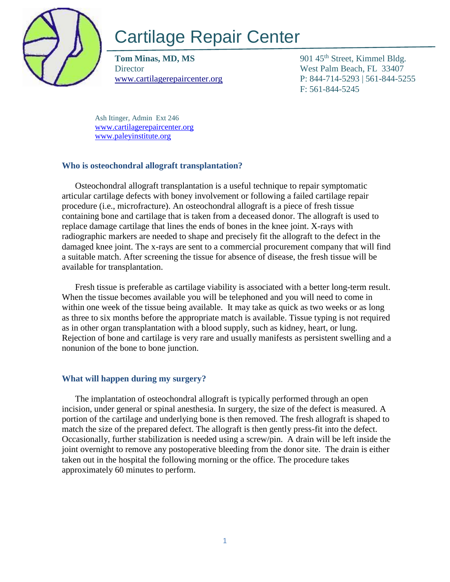

# Cartilage Repair Center

**Tom Minas, MD, MS** 901 45<sup>th</sup> Street, Kimmel Bldg. Director West Palm Beach, FL 33407

[www.cartilagerepaircenter.org](http://www.cartilagerepaircenter.org/) P: 844-714-5293 | 561-844-5255 F: 561-844-5245

Ash Itinger, Admin Ext 246 [www.cartilagerepaircenter.org](about:blank) [www.paleyinstitute.org](about:blank)

#### **Who is osteochondral allograft transplantation?**

Osteochondral allograft transplantation is a useful technique to repair symptomatic articular cartilage defects with boney involvement or following a failed cartilage repair procedure (i.e., microfracture). An osteochondral allograft is a piece of fresh tissue containing bone and cartilage that is taken from a deceased donor. The allograft is used to replace damage cartilage that lines the ends of bones in the knee joint. X-rays with radiographic markers are needed to shape and precisely fit the allograft to the defect in the damaged knee joint. The x-rays are sent to a commercial procurement company that will find a suitable match. After screening the tissue for absence of disease, the fresh tissue will be available for transplantation.

Fresh tissue is preferable as cartilage viability is associated with a better long-term result. When the tissue becomes available you will be telephoned and you will need to come in within one week of the tissue being available. It may take as quick as two weeks or as long as three to six months before the appropriate match is available. Tissue typing is not required as in other organ transplantation with a blood supply, such as kidney, heart, or lung. Rejection of bone and cartilage is very rare and usually manifests as persistent swelling and a nonunion of the bone to bone junction.

### **What will happen during my surgery?**

The implantation of osteochondral allograft is typically performed through an open incision, under general or spinal anesthesia. In surgery, the size of the defect is measured. A portion of the cartilage and underlying bone is then removed. The fresh allograft is shaped to match the size of the prepared defect. The allograft is then gently press-fit into the defect. Occasionally, further stabilization is needed using a screw/pin. A drain will be left inside the joint overnight to remove any postoperative bleeding from the donor site. The drain is either taken out in the hospital the following morning or the office. The procedure takes approximately 60 minutes to perform.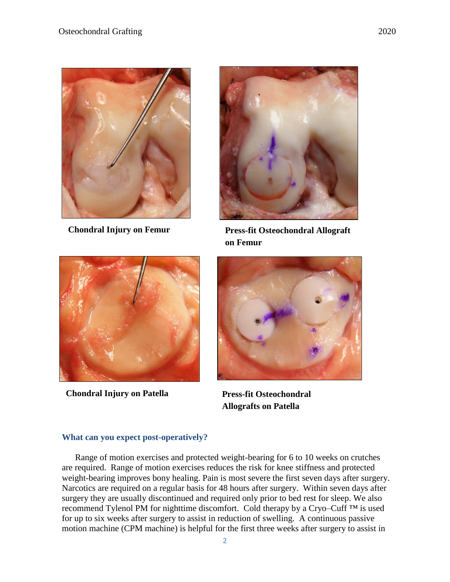



**Chondral Injury on Femur Press-fit Osteochondral Allograft on Femur**



**Chondral Injury on Patella Press-fit Osteochondral** 



**Allografts on Patella**

#### **What can you expect post-operatively?**

Range of motion exercises and protected weight-bearing for 6 to 10 weeks on crutches are required. Range of motion exercises reduces the risk for knee stiffness and protected weight-bearing improves bony healing. Pain is most severe the first seven days after surgery. Narcotics are required on a regular basis for 48 hours after surgery. Within seven days after surgery they are usually discontinued and required only prior to bed rest for sleep. We also recommend Tylenol PM for nighttime discomfort. Cold therapy by a Cryo–Cuff ™ is used for up to six weeks after surgery to assist in reduction of swelling. A continuous passive motion machine (CPM machine) is helpful for the first three weeks after surgery to assist in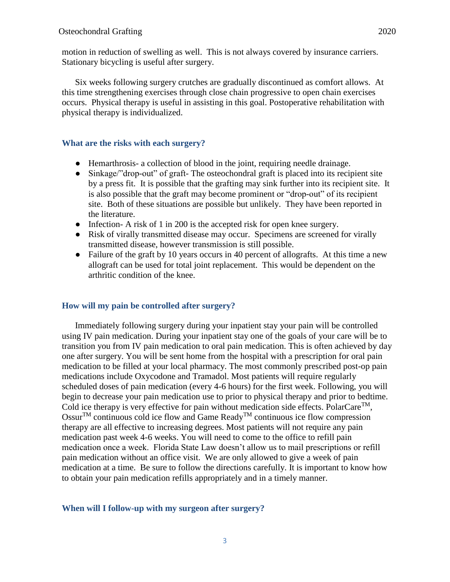Six weeks following surgery crutches are gradually discontinued as comfort allows. At this time strengthening exercises through close chain progressive to open chain exercises occurs. Physical therapy is useful in assisting in this goal. Postoperative rehabilitation with physical therapy is individualized.

#### **What are the risks with each surgery?**

- Hemarthrosis- a collection of blood in the joint, requiring needle drainage.
- Sinkage/"drop-out" of graft- The osteochondral graft is placed into its recipient site by a press fit. It is possible that the grafting may sink further into its recipient site. It is also possible that the graft may become prominent or "drop-out" of its recipient site. Both of these situations are possible but unlikely. They have been reported in the literature.
- Infection- A risk of 1 in 200 is the accepted risk for open knee surgery.
- Risk of virally transmitted disease may occur. Specimens are screened for virally transmitted disease, however transmission is still possible.
- Failure of the graft by 10 years occurs in 40 percent of allografts. At this time a new allograft can be used for total joint replacement. This would be dependent on the arthritic condition of the knee.

#### **How will my pain be controlled after surgery?**

Immediately following surgery during your inpatient stay your pain will be controlled using IV pain medication. During your inpatient stay one of the goals of your care will be to transition you from IV pain medication to oral pain medication. This is often achieved by day one after surgery. You will be sent home from the hospital with a prescription for oral pain medication to be filled at your local pharmacy. The most commonly prescribed post-op pain medications include Oxycodone and Tramadol. Most patients will require regularly scheduled doses of pain medication (every 4-6 hours) for the first week. Following, you will begin to decrease your pain medication use to prior to physical therapy and prior to bedtime. Cold ice therapy is very effective for pain without medication side effects. PolarCare<sup>TM</sup>, Ossur<sup>TM</sup> continuous cold ice flow and Game Ready<sup>TM</sup> continuous ice flow compression therapy are all effective to increasing degrees. Most patients will not require any pain medication past week 4-6 weeks. You will need to come to the office to refill pain medication once a week. Florida State Law doesn't allow us to mail prescriptions or refill pain medication without an office visit. We are only allowed to give a week of pain medication at a time. Be sure to follow the directions carefully. It is important to know how to obtain your pain medication refills appropriately and in a timely manner.

#### **When will I follow-up with my surgeon after surgery?**

3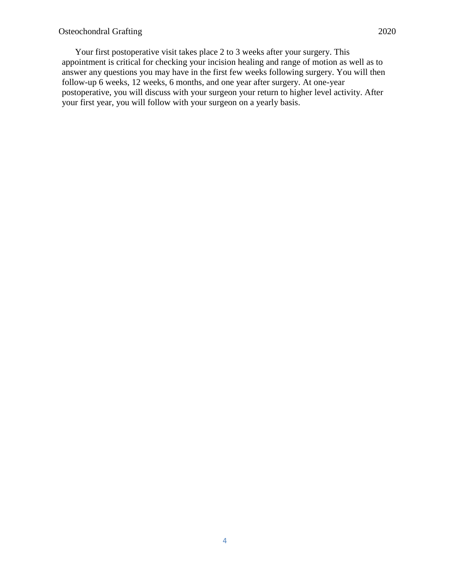Your first postoperative visit takes place 2 to 3 weeks after your surgery. This appointment is critical for checking your incision healing and range of motion as well as to answer any questions you may have in the first few weeks following surgery. You will then follow-up 6 weeks, 12 weeks, 6 months, and one year after surgery. At one-year postoperative, you will discuss with your surgeon your return to higher level activity. After your first year, you will follow with your surgeon on a yearly basis.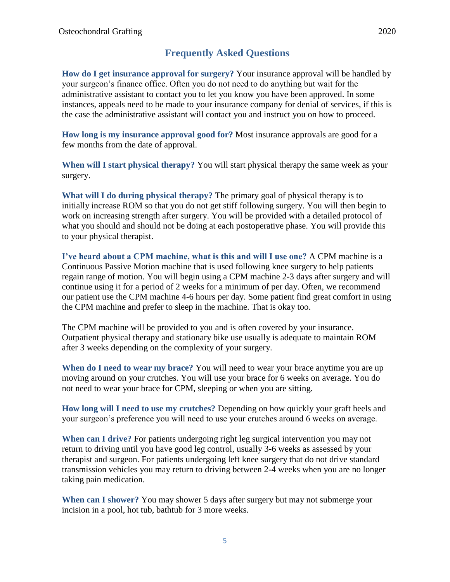## **Frequently Asked Questions**

**How do I get insurance approval for surgery?** Your insurance approval will be handled by your surgeon's finance office. Often you do not need to do anything but wait for the administrative assistant to contact you to let you know you have been approved. In some instances, appeals need to be made to your insurance company for denial of services, if this is the case the administrative assistant will contact you and instruct you on how to proceed.

**How long is my insurance approval good for?** Most insurance approvals are good for a few months from the date of approval.

**When will I start physical therapy?** You will start physical therapy the same week as your surgery.

**What will I do during physical therapy?** The primary goal of physical therapy is to initially increase ROM so that you do not get stiff following surgery. You will then begin to work on increasing strength after surgery. You will be provided with a detailed protocol of what you should and should not be doing at each postoperative phase. You will provide this to your physical therapist.

**I've heard about a CPM machine, what is this and will I use one?** A CPM machine is a Continuous Passive Motion machine that is used following knee surgery to help patients regain range of motion. You will begin using a CPM machine 2-3 days after surgery and will continue using it for a period of 2 weeks for a minimum of per day. Often, we recommend our patient use the CPM machine 4-6 hours per day. Some patient find great comfort in using the CPM machine and prefer to sleep in the machine. That is okay too.

The CPM machine will be provided to you and is often covered by your insurance. Outpatient physical therapy and stationary bike use usually is adequate to maintain ROM after 3 weeks depending on the complexity of your surgery.

**When do I need to wear my brace?** You will need to wear your brace anytime you are up moving around on your crutches. You will use your brace for 6 weeks on average. You do not need to wear your brace for CPM, sleeping or when you are sitting.

**How long will I need to use my crutches?** Depending on how quickly your graft heels and your surgeon's preference you will need to use your crutches around 6 weeks on average.

**When can I drive?** For patients undergoing right leg surgical intervention you may not return to driving until you have good leg control, usually 3-6 weeks as assessed by your therapist and surgeon. For patients undergoing left knee surgery that do not drive standard transmission vehicles you may return to driving between 2-4 weeks when you are no longer taking pain medication.

**When can I shower?** You may shower 5 days after surgery but may not submerge your incision in a pool, hot tub, bathtub for 3 more weeks.